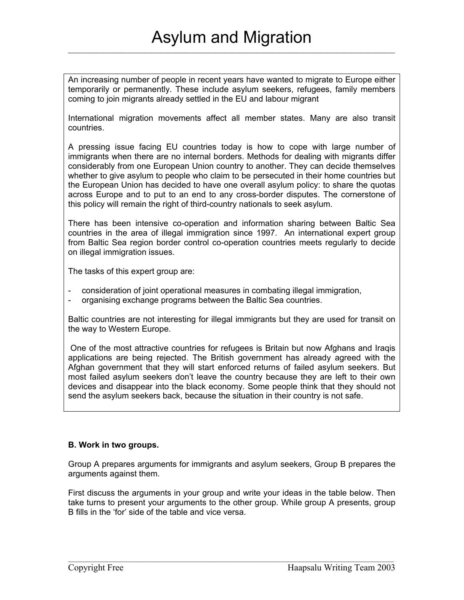An increasing number of people in recent years have wanted to migrate to Europe either temporarily or permanently. These include asylum seekers, refugees, family members coming to join migrants already settled in the EU and labour migrant

International migration movements affect all member states. Many are also transit countries.

A pressing issue facing EU countries today is how to cope with large number of immigrants when there are no internal borders. Methods for dealing with migrants differ considerably from one European Union country to another. They can decide themselves whether to give asylum to people who claim to be persecuted in their home countries but the European Union has decided to have one overall asylum policy: to share the quotas across Europe and to put to an end to any cross-border disputes. The cornerstone of this policy will remain the right of third-country nationals to seek asylum.

There has been intensive co-operation and information sharing between Baltic Sea countries in the area of illegal immigration since 1997. An international expert group from Baltic Sea region border control co-operation countries meets regularly to decide on illegal immigration issues.

The tasks of this expert group are:

- consideration of joint operational measures in combating illegal immigration,
- organising exchange programs between the Baltic Sea countries.

Baltic countries are not interesting for illegal immigrants but they are used for transit on the way to Western Europe.

One of the most attractive countries for refugees is Britain but now Afghans and Iraqis applications are being rejected. The British government has already agreed with the Afghan government that they will start enforced returns of failed asylum seekers. But most failed asylum seekers don't leave the country because they are left to their own devices and disappear into the black economy. Some people think that they should not send the asylum seekers back, because the situation in their country is not safe.

## **B. Work in two groups.**

Group A prepares arguments for immigrants and asylum seekers, Group B prepares the arguments against them.

First discuss the arguments in your group and write your ideas in the table below. Then take turns to present your arguments to the other group. While group A presents, group B fills in the 'for' side of the table and vice versa.

 $\mathcal{L}_\mathcal{L} = \{ \mathcal{L}_\mathcal{L} = \{ \mathcal{L}_\mathcal{L} = \{ \mathcal{L}_\mathcal{L} = \{ \mathcal{L}_\mathcal{L} = \{ \mathcal{L}_\mathcal{L} = \{ \mathcal{L}_\mathcal{L} = \{ \mathcal{L}_\mathcal{L} = \{ \mathcal{L}_\mathcal{L} = \{ \mathcal{L}_\mathcal{L} = \{ \mathcal{L}_\mathcal{L} = \{ \mathcal{L}_\mathcal{L} = \{ \mathcal{L}_\mathcal{L} = \{ \mathcal{L}_\mathcal{L} = \{ \mathcal{L}_\mathcal{$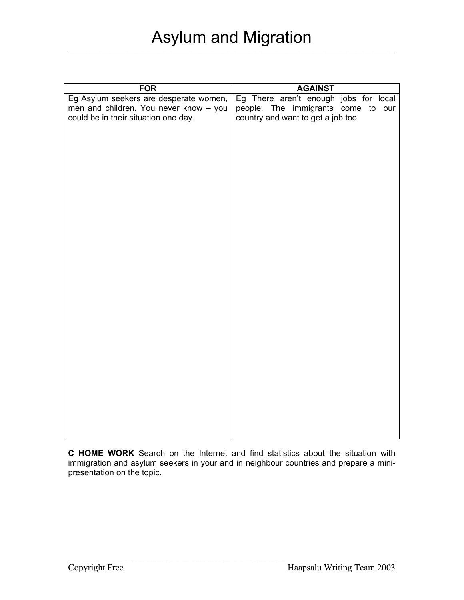| <b>FOR</b>                             | <b>AGAINST</b>                        |
|----------------------------------------|---------------------------------------|
| Eg Asylum seekers are desperate women, | Eg There aren't enough jobs for local |
| men and children. You never know - you | people. The immigrants come to our    |
| could be in their situation one day.   | country and want to get a job too.    |
|                                        |                                       |
|                                        |                                       |
|                                        |                                       |
|                                        |                                       |
|                                        |                                       |
|                                        |                                       |
|                                        |                                       |
|                                        |                                       |
|                                        |                                       |
|                                        |                                       |
|                                        |                                       |
|                                        |                                       |
|                                        |                                       |
|                                        |                                       |
|                                        |                                       |
|                                        |                                       |
|                                        |                                       |
|                                        |                                       |
|                                        |                                       |
|                                        |                                       |
|                                        |                                       |
|                                        |                                       |
|                                        |                                       |
|                                        |                                       |
|                                        |                                       |
|                                        |                                       |
|                                        |                                       |
|                                        |                                       |
|                                        |                                       |
|                                        |                                       |
|                                        |                                       |

**C HOME WORK** Search on the Internet and find statistics about the situation with immigration and asylum seekers in your and in neighbour countries and prepare a minipresentation on the topic.

 $\mathcal{L}_\mathcal{L} = \{ \mathcal{L}_\mathcal{L} = \{ \mathcal{L}_\mathcal{L} = \{ \mathcal{L}_\mathcal{L} = \{ \mathcal{L}_\mathcal{L} = \{ \mathcal{L}_\mathcal{L} = \{ \mathcal{L}_\mathcal{L} = \{ \mathcal{L}_\mathcal{L} = \{ \mathcal{L}_\mathcal{L} = \{ \mathcal{L}_\mathcal{L} = \{ \mathcal{L}_\mathcal{L} = \{ \mathcal{L}_\mathcal{L} = \{ \mathcal{L}_\mathcal{L} = \{ \mathcal{L}_\mathcal{L} = \{ \mathcal{L}_\mathcal{$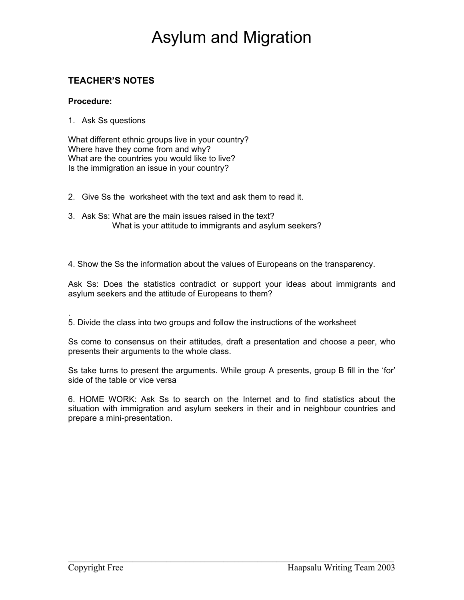## **TEACHER'S NOTES**

## **Procedure:**

1. Ask Ss questions

What different ethnic groups live in your country? Where have they come from and why? What are the countries you would like to live? Is the immigration an issue in your country?

- 2. Give Ss the worksheet with the text and ask them to read it.
- 3. Ask Ss: What are the main issues raised in the text? What is your attitude to immigrants and asylum seekers?

4. Show the Ss the information about the values of Europeans on the transparency.

Ask Ss: Does the statistics contradict or support your ideas about immigrants and asylum seekers and the attitude of Europeans to them?

. 5. Divide the class into two groups and follow the instructions of the worksheet

Ss come to consensus on their attitudes, draft a presentation and choose a peer, who presents their arguments to the whole class.

Ss take turns to present the arguments. While group A presents, group B fill in the 'for' side of the table or vice versa

6. HOME WORK: Ask Ss to search on the Internet and to find statistics about the situation with immigration and asylum seekers in their and in neighbour countries and prepare a mini-presentation.

 $\mathcal{L}_\mathcal{L} = \{ \mathcal{L}_\mathcal{L} = \{ \mathcal{L}_\mathcal{L} = \{ \mathcal{L}_\mathcal{L} = \{ \mathcal{L}_\mathcal{L} = \{ \mathcal{L}_\mathcal{L} = \{ \mathcal{L}_\mathcal{L} = \{ \mathcal{L}_\mathcal{L} = \{ \mathcal{L}_\mathcal{L} = \{ \mathcal{L}_\mathcal{L} = \{ \mathcal{L}_\mathcal{L} = \{ \mathcal{L}_\mathcal{L} = \{ \mathcal{L}_\mathcal{L} = \{ \mathcal{L}_\mathcal{L} = \{ \mathcal{L}_\mathcal{$